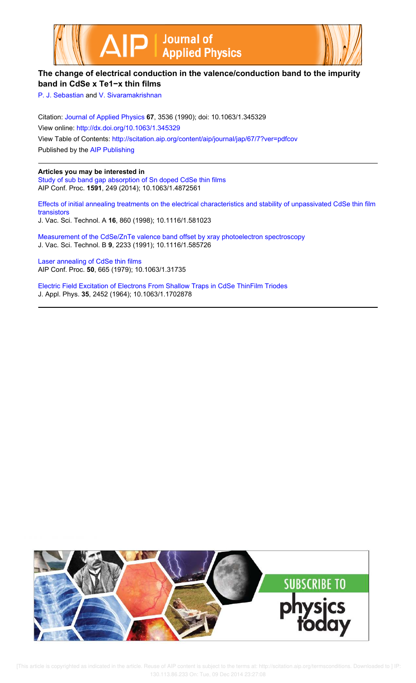



## **The change of electrical conduction in the valence/conduction band to the impurity band in CdSe x Te1−x thin films**

P. J. Sebastian and V. Sivaramakrishnan

Citation: Journal of Applied Physics **67**, 3536 (1990); doi: 10.1063/1.345329 View online: http://dx.doi.org/10.1063/1.345329 View Table of Contents: http://scitation.aip.org/content/aip/journal/jap/67/7?ver=pdfcov Published by the AIP Publishing

**Articles you may be interested in**

Study of sub band gap absorption of Sn doped CdSe thin films AIP Conf. Proc. **1591**, 249 (2014); 10.1063/1.4872561

Effects of initial annealing treatments on the electrical characteristics and stability of unpassivated CdSe thin film transistors J. Vac. Sci. Technol. A **16**, 860 (1998); 10.1116/1.581023

Measurement of the CdSe/ZnTe valence band offset by xray photoelectron spectroscopy J. Vac. Sci. Technol. B **9**, 2233 (1991); 10.1116/1.585726

Laser annealing of CdSe thin films AIP Conf. Proc. **50**, 665 (1979); 10.1063/1.31735

Electric Field Excitation of Electrons From Shallow Traps in CdSe ThinFilm Triodes J. Appl. Phys. **35**, 2452 (1964); 10.1063/1.1702878



 [This article is copyrighted as indicated in the article. Reuse of AIP content is subject to the terms at: http://scitation.aip.org/termsconditions. Downloaded to ] IP: 130.113.86.233 On: Tue, 09 Dec 2014 23:27:08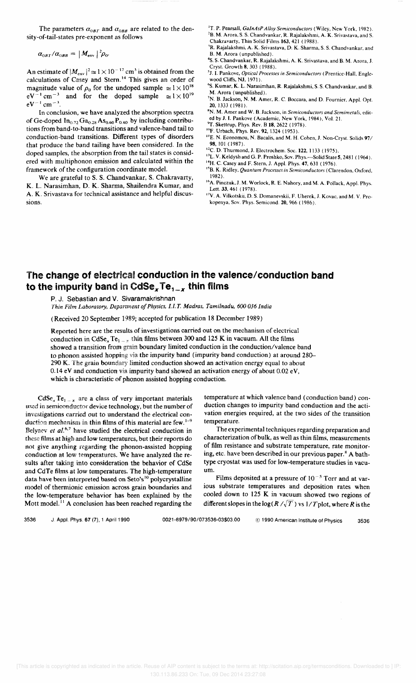The parameters  $\alpha_{0BT}$  and  $\alpha_{0BB}$  are related to the density-of-tail-states pre-exponent as follows

 $\alpha_{0BT}/\alpha_{0BB} = |M_{\rm env}|^2 \rho_0.$ 

An estimate of  $|M_{\text{env}}|^2 \approx 1 \times 10^{-17}$  cm<sup>3</sup> is obtained from the calculations of Casey and Stern.<sup>14</sup> This gives an order of magnitude value of  $\rho_0$  for the undoped sample  $\approx 1 \times 10^{18}$  $eV^{-1}$  cm<sup>-3</sup> and for the doped sample  $\approx 1 \times 10^{19}$  $eV^{-1}$  cm<sup>-3</sup>.

In conclusion, we have analyzed the absorption spectra of Ge-doped  $In_{0.72}Ga_{0.28}As_{0.60}P_{0.40}$  by including contributions from band-to-band transitions and valence-band tail to conduction-band transitions. Different types of disorders that produce the band tailing have been considered. In the doped samples, the absorption from the tail states is considered with multiphonon emission and calculated within the framework of the configuration coordinate model.

We are grateful to S. S. Chandvankar, S. Chakravarty, K. L. Narasimhan, D. K. Sharma, Shailendra Kumar, and A. K. Srivastava for technical assistance and helpful discussions.

<sup>1</sup>T. P. Pearsall, *GaInAsP Alloy Semiconductors* (Wiley, New York, 1982). 'B. M. Arora, S. S. Chandvankar, R. Rajalakshmi, A. K. Srivastava, and S. Chakravarty, Thin Solid Films 163, 421 (1988).

'R. Rajalakshmi, A. K. Srivastava, D. K. Sharma, S. S. Chandvankar, and B. M. Arora (unpublished).

4S. S. Chandvankar, R. Rajalakshmi, A. K. Srivastava, and B. M. Arora, J. Cryst. Growth 8, 303 (1988).

'1. I. Pankove, *Optical Processes in Semiconductors* (Prentice-Hall, Englewood Cliffs, NJ, 1971).

·S. Kumar, K. L. Narasimhan, R. Rajalakshmi, S. S. Chandvankar, and B. M. Arora (unpublished).

'N. B.Jackson, N. M. Amer, R. C. Boccara, and D. Fournier, Appl. Opt. 20,1333 (1981).

"N. M. Amer and W. B. Jackson, in *Semiconductors and Semimetals,* edited by J. I. Pankove (Academic, New York, 1984), Vol. 21.

<sup>9</sup>T. Skettrup, Phys. Rev. B 18, 2622 (1978).

<sup>10</sup>F. Urbach, Phys. Rev. 92, 1324 (1953).

"E. N. Economou, N. Bacalis, and M. H. Cohen, J. Non-Cryst. Solids 97/ 98, 101 (1987).

<sup>12</sup>C. D. Thurmond, J. Electrochem. Soc. 122, 1133 (1975).

<sup>13</sup>L. V. Keldysh and G. P. Proshko, Sov. Phys.-Solid State 5, 2481 (1964).

'4H. C. Casey and F. Stern, J. Appl. Phys. 47, 631 (1976). "B. K. Ridley, *Quantum Processes in Semiconductors* (Clarendon, Oxford,

1982). <sup>16</sup>A. Pinczuk, J. M. Worlock, R. E. Nahory, and M. A. Pollack, Appl. Phys.

Lett. 33, 461 (1978). 17y. A. Yilkotskii, D. S. Domanevskii, F. Uherek, J. Kovac, and M. Y. Prokopenya, SOy. Phys. Semicond. 20,966 (1986).

## **The change of** electrical **conduction in the valence/ conduction band to the impurity band** tn CdSex **Te<sup>1</sup> \_ <sup>X</sup>thin films**

P. J. Sebastian and V. Sivaramakrishnan

*Thin Film Laboratory, DeFmment of Physics,* 1.1. T. *Madras, Tamilnadu, 600 036 India* 

(Received 20 September 1989; accepted for publication 18 December 1989)

Reported here are the results of investigations carried out on the mechanism of electrical conduction in CdSe<sub>x</sub> Te<sub>l = x</sub> thin films between 300 and 125 K in vacuum. All the films showed a transition from grain boundary limited conduction in the conduction/valence band to phonon assisted hopping via the impurity band (impurity band conduction) at around 280- 290 K. The grain boundary limited conduction showed an activation energy equal to about 0.14 eV and conduction via impurity band showed an activation energy of about 0.02 eV, which is characteristic of phonon assisted hopping conduction.

CdSe,  $Te_{1-x}$  are a class of very important materials used in semiconductor device technology, but the number of investigations carried out to understand the electrical conduction mechanism in thin films of this material are  $f_{\text{ew}}$ .  $1-9$ Belyacv et al.<sup>6,7</sup> have studied the electrical conduction in these films at high and low temperatures, but their reports do not give anything regarding the phonon-assisted hopping conduction at low temperatures. We have analyzed the results after taking into consideration the behavior of CdSe and CdTe films at low temperatures. The high-temperature data have been interpreted based on Seto's<sup>10</sup> polycrystalline model of thermionic emission across grain boundaries and the low-temperature behavior has been explained by the Mott model.<sup>11</sup> A conclusion has been reached regarding the

temperature at which valence band (conduction band) conduction changes to impurity band conduction and the activation energies required, at the two sides of the transition temperature.

The experimental techniques regarding preparation and characterization of bulk, as well as thin films, measurements of film resistance and substrate temperature, rate monitoring, etc. have been described in our previous paper.<sup>8</sup> A bathtype cryostat was used for low-temperature studies in vacuum.

Films deposited at a pressure of  $10^{-5}$  Torr and at various substrate temperatures and deposition rates when cooled down to 125 K in vacuum showed two regions of different slopes in the  $log(R/\sqrt{T})$  vs  $1/T$  plot, where R is the

3536 J AppL Phys. 67 (7), 1 April 1990 0021-8979/90/073536-03\$03.00 © 1990 American Institute of Physics 3536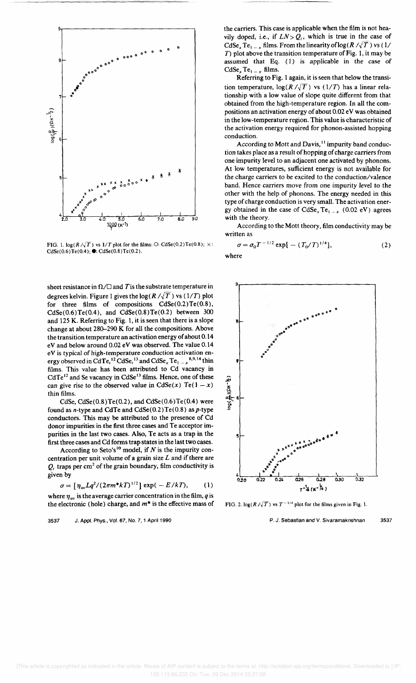

FIG. 1.  $\log(R/\sqrt{T})$  vs  $1/T$  plot for the films: O: CdSe(0.2)Te(0.8);  $\times$ :  $CdSe(0.6)Te(0.4);$ . CdSe $(0.8)Te(0.2)$ .

sheet resistance in  $\Omega/\square$  and *T* is the substrate temperature in degrees kelvin. Figure 1 gives the  $log(R/\sqrt{T})$  vs (1/T) plot for three films of compositions  $CdSe(0.2)Te(0.8)$ ,  $CdSe(0.6)Te(0.4)$ , and  $CdSe(0.8)Te(0.2)$  between 300 and 125 K. Referring to Fig. 1, it is seen that there is a slope change at about 280-290 K for all the compositions. Above the transition temperature an activation energy of about 0.14 eV and below around 0.02 eV was observed. The value 0.14 eV is typical of high-temperature conduction activation energy observed in CdTe,<sup>12</sup> CdSe,<sup>13</sup> and  $CdSe_xTe_1 = x^{8.9.14}$  thin films. This value has been attributed to Cd vacancy in  $CdTe<sup>12</sup>$  and Se vacancy in  $CdSe<sup>13</sup>$  films. Hence, one of these can give rise to the observed value in CdSe(x) Te(1-x) thin films.

CdSe,  $CdSe(0.8)Te(0.2)$ , and  $CdSe(0.6)Te(0.4)$  were found as n-type and CdTe and CdSe( $0.2$ )Te( $0.8$ ) as p-type conductors. This may be attributed to the presence of Cd donor impurities in the first three cases and Te acceptor impurities in the last two cases. Also, Te acts as a trap in the first three cases and Cd forms trap states in the last two cases.

According to Seto's<sup>10</sup> model, if  $N$  is the impurity concentration per unit volume of a grain size  $L$  and if there are  $Q_i$ , traps per cm<sup>2</sup> of the grain boundary, film conductivity is given by

$$
\sigma = \left[ \eta_{av} L q^2 / (2 \pi m^* k T)^{1/2} \right] \exp(-E/kT), \quad (1)
$$

where  $\eta_{av}$  is the average carrier concentration in the film, *q* is the electronic (hole) charge, and *m\** is the effective mass of

3537 J. Appl. Phys .• Vol. 67. No.7. 1 April 1990

the carriers. This case is applicable when the film is not heavily doped, i.e., if  $LN > Q<sub>i</sub>$ , which is true in the case of *CdSe<sub>x</sub>* Te<sub>l  $-x$ </sub> films. From the linearity of  $log(R/\sqrt{T})$  vs (1/ T) plot above the transition temperature of Fig. 1, it may be assumed that Eq. (1) is applicable in the case of  $CdSe_xTe_{1-x}$  films.

Referring to Fig. 1 again, it is seen that below the transition temperature,  $log(R/\sqrt{T})$  vs (1/T) has a linear relationship with a low value of slope quite different from that obtained from the high-temperature region. In all the compositions an activation energy of about 0.02 eV was obtained in the low-temperature region. This value is characteristic of the activation energy required for phonon-assisted hopping conduction.

According to Mott and Davis,<sup>11</sup> impurity band conduction takes place as a result of hopping of charge carriers from one impurity level to an adjacent one activated by phonons. At low temperatures, sufficient energy is not available for the charge carriers to be excited to the conduction/valence band. Hence carriers move from one impurity level to the other with the help of phonons. The energy needed in this type of charge conduction is very small. The activation energy obtained in the case of  $CdSe_xTe_{1-x}$  (0.02 eV) agrees with the theory.

According to the Mott theory, film conductivity may be written as

$$
\sigma = \sigma_0 T^{-1/2} \exp[ -(T_0/T)^{1/4}], \qquad (2)
$$

where



FIG. 2.  $\log(R/\sqrt{T})$  vs  $T^{-1/4}$  plot for the films given in Fig. 1.

P. J. Sebastian and V. Sivaramakrishnan 3537